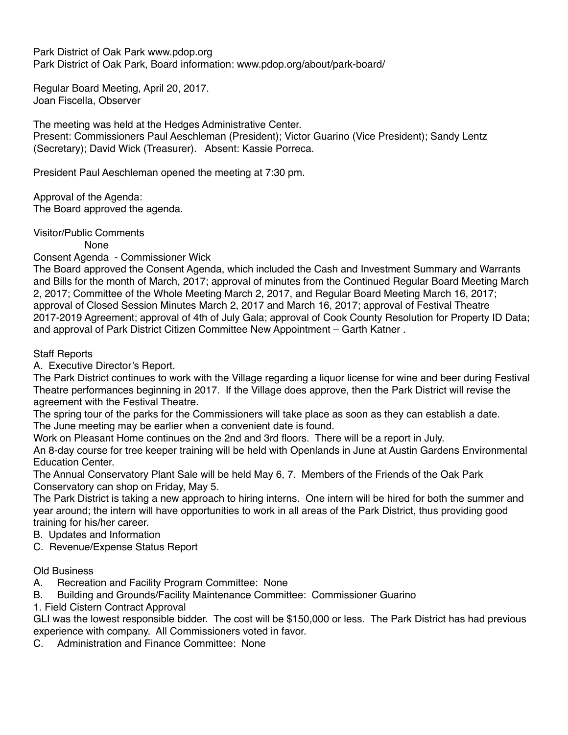Park District of Oak Park www.pdop.org Park District of Oak Park, Board information: www.pdop.org/about/park-board/

Regular Board Meeting, April 20, 2017. Joan Fiscella, Observer

The meeting was held at the Hedges Administrative Center. Present: Commissioners Paul Aeschleman (President); Victor Guarino (Vice President); Sandy Lentz (Secretary); David Wick (Treasurer). Absent: Kassie Porreca.

President Paul Aeschleman opened the meeting at 7:30 pm.

Approval of the Agenda: The Board approved the agenda.

Visitor/Public Comments

None

Consent Agenda - Commissioner Wick

The Board approved the Consent Agenda, which included the Cash and Investment Summary and Warrants and Bills for the month of March, 2017; approval of minutes from the Continued Regular Board Meeting March 2, 2017; Committee of the Whole Meeting March 2, 2017, and Regular Board Meeting March 16, 2017; approval of Closed Session Minutes March 2, 2017 and March 16, 2017; approval of Festival Theatre 2017-2019 Agreement; approval of 4th of July Gala; approval of Cook County Resolution for Property ID Data; and approval of Park District Citizen Committee New Appointment – Garth Katner .

# Staff Reports

A. Executive Director's Report.

The Park District continues to work with the Village regarding a liquor license for wine and beer during Festival Theatre performances beginning in 2017. If the Village does approve, then the Park District will revise the agreement with the Festival Theatre.

The spring tour of the parks for the Commissioners will take place as soon as they can establish a date. The June meeting may be earlier when a convenient date is found.

Work on Pleasant Home continues on the 2nd and 3rd floors. There will be a report in July.

An 8-day course for tree keeper training will be held with Openlands in June at Austin Gardens Environmental Education Center.

The Annual Conservatory Plant Sale will be held May 6, 7. Members of the Friends of the Oak Park Conservatory can shop on Friday, May 5.

The Park District is taking a new approach to hiring interns. One intern will be hired for both the summer and year around; the intern will have opportunities to work in all areas of the Park District, thus providing good training for his/her career.

- B. Updates and Information
- C. Revenue/Expense Status Report

## Old Business

A. Recreation and Facility Program Committee: None

B. Building and Grounds/Facility Maintenance Committee: Commissioner Guarino

1. Field Cistern Contract Approval

GLI was the lowest responsible bidder. The cost will be \$150,000 or less. The Park District has had previous experience with company. All Commissioners voted in favor.

C. Administration and Finance Committee: None